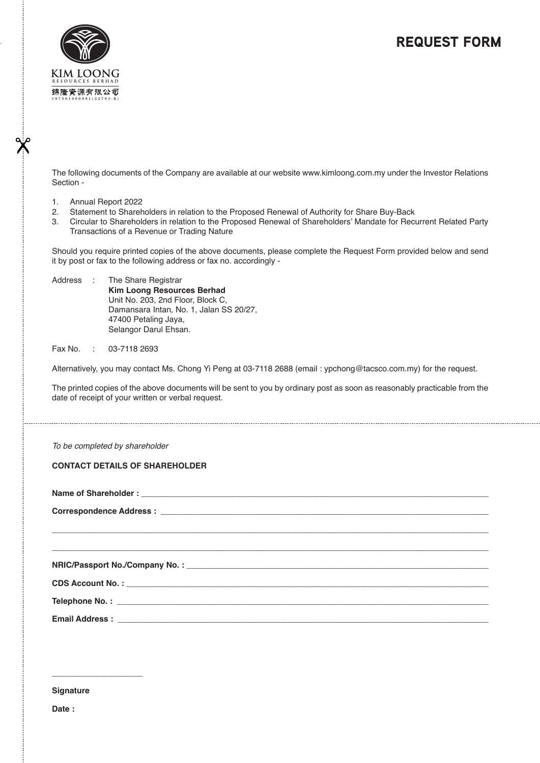## REQUEST FORM



The following documents of the Company are available at our website www.kimloong.com.my under the Investor Relations Section -

- 1. Annual Report 2022
- 2. Statement to Shareholders in relation to the Proposed Renewal of Authority for Share Buy-Back
- 3. Circular to Shareholders in relation to the Proposed Renewal of Shareholders' Mandate for Recurrent Related Party Transactions of a Revenue or Trading Nature

Should you require printed copies of the above documents, please complete the Request Form provided below and send it by post or fax to the following address or fax no. accordingly -

Address : The Share Registrar **Kim Loong Resources Berhad** Unit No. 203, 2nd Floor, Block C, Damansara Intan, No. 1, Jalan SS 20/27, 47400 Petaling Jaya, Selangor Darul Ehsan.

Fax No. : 03-7118 2693

Alternatively, you may contact Ms. Chong Yi Peng at 03-7118 2688 (email : ypchong@tacsco.com.my) for the request.

The printed copies of the above documents will be sent to you by ordinary post as soon as reasonably practicable from the date of receipt of your written or verbal request.

**\_\_\_\_\_\_\_\_\_\_\_\_\_\_\_\_\_\_\_\_\_\_\_\_\_\_\_\_\_\_\_\_\_\_\_\_\_\_\_\_\_\_\_\_\_\_\_\_\_\_\_\_\_\_\_\_\_\_\_\_\_\_\_\_\_\_\_\_\_\_\_\_\_\_\_\_\_\_\_\_\_\_\_\_\_\_\_\_\_\_\_\_\_\_\_\_\_\_ \_\_\_\_\_\_\_\_\_\_\_\_\_\_\_\_\_\_\_\_\_\_\_\_\_\_\_\_\_\_\_\_\_\_\_\_\_\_\_\_\_\_\_\_\_\_\_\_\_\_\_\_\_\_\_\_\_\_\_\_\_\_\_\_\_\_\_\_\_\_\_\_\_\_\_\_\_\_\_\_\_\_\_\_\_\_\_\_\_\_\_\_\_\_\_\_\_**

To be completed by shareholder

## **CONTACT DETAILS OF SHAREHOLDER**

Name of Shareholder :

Correspondence Address :

**NRIC/Passport No./Company No. : \_\_\_\_\_\_\_\_\_\_\_\_\_\_\_\_\_\_\_\_\_\_\_\_\_\_\_\_\_\_\_\_\_\_\_\_\_\_\_\_\_\_\_\_\_\_\_\_\_\_\_\_\_\_\_\_\_\_\_\_\_\_\_\_\_\_\_\_\_**

**CDS Account No. : \_\_\_\_\_\_\_\_\_\_\_\_\_\_\_\_\_\_\_\_\_\_\_\_\_\_\_\_\_\_\_\_\_\_\_\_\_\_\_\_\_\_\_\_\_\_\_\_\_\_\_\_\_\_\_\_\_\_\_\_\_\_\_\_\_\_\_\_\_\_\_\_\_\_\_\_\_\_\_\_**

Telephone No.: \_

**Email Address :** 

**\_\_\_\_\_\_\_\_\_\_\_\_\_\_\_\_\_\_\_\_**

**Signature**

**Date :**